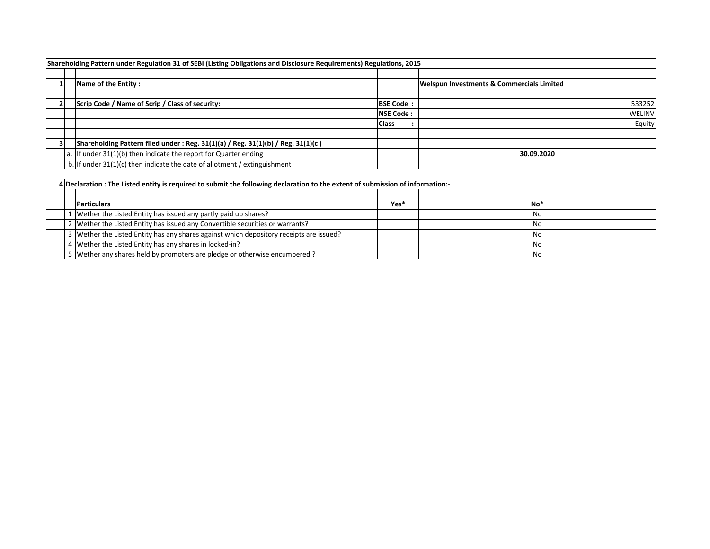|  | Shareholding Pattern under Regulation 31 of SEBI (Listing Obligations and Disclosure Requirements) Regulations, 2015           |                  |                                                      |
|--|--------------------------------------------------------------------------------------------------------------------------------|------------------|------------------------------------------------------|
|  | Name of the Entity:                                                                                                            |                  | <b>Welspun Investments &amp; Commercials Limited</b> |
|  | Scrip Code / Name of Scrip / Class of security:                                                                                | <b>BSE Code:</b> | 533252                                               |
|  |                                                                                                                                | <b>NSE Code:</b> | WELINV                                               |
|  |                                                                                                                                | <b>Class</b>     | Equity                                               |
|  | Shareholding Pattern filed under : Reg. $31(1)(a)$ / Reg. $31(1)(b)$ / Reg. $31(1)(c)$                                         |                  |                                                      |
|  | a. If under $31(1)(b)$ then indicate the report for Quarter ending                                                             |                  | 30.09.2020                                           |
|  | b. If under 31(1)(c) then indicate the date of allotment / extinguishment                                                      |                  |                                                      |
|  |                                                                                                                                |                  |                                                      |
|  | 4 Declaration : The Listed entity is required to submit the following declaration to the extent of submission of information:- |                  |                                                      |
|  | <b>Particulars</b>                                                                                                             | Yes*             | No*                                                  |
|  | Wether the Listed Entity has issued any partly paid up shares?                                                                 |                  | No                                                   |
|  | 2 Wether the Listed Entity has issued any Convertible securities or warrants?                                                  |                  | No                                                   |
|  | 3   Wether the Listed Entity has any shares against which depository receipts are issued?                                      |                  | No                                                   |
|  | 4 Wether the Listed Entity has any shares in locked-in?                                                                        |                  | No                                                   |
|  | 5 Wether any shares held by promoters are pledge or otherwise encumbered?                                                      |                  | No                                                   |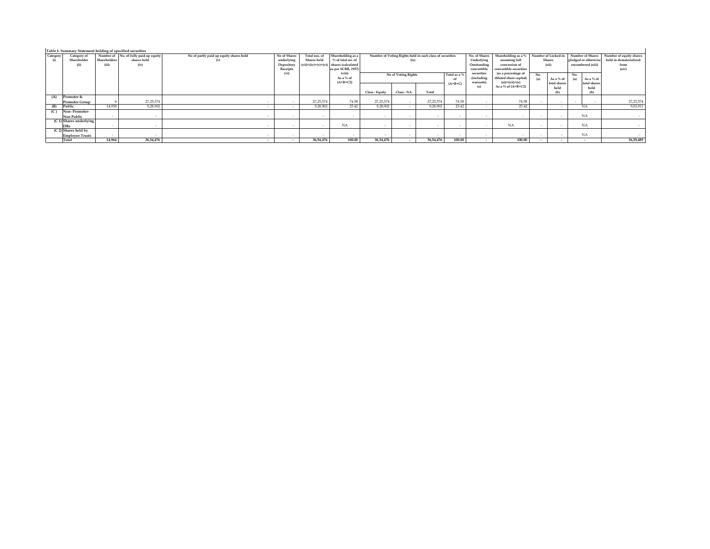|          | Table I- Summary Statement holding of specified securities |              |                                       |                                         |              |               |                                          |                                                          |           |             |               |                        |                        |               |                          |                         |                        |
|----------|------------------------------------------------------------|--------------|---------------------------------------|-----------------------------------------|--------------|---------------|------------------------------------------|----------------------------------------------------------|-----------|-------------|---------------|------------------------|------------------------|---------------|--------------------------|-------------------------|------------------------|
| Category | Category of                                                |              | Number of No. of fully paid up equity | No of partly paid up equity shares held | No of Shares | Total nos, of | Shareholding as a                        | Number of Voting Rights held in each class of securities |           |             | No. of Shares | Shareholding as a %    | Number of Locked-in    |               | Number of Shares         | Number of equity shares |                        |
| (i)      | Shareholder                                                | Shareholders | shares held                           | (v)                                     | underlying   | Shares held   | % of total no, of                        |                                                          | (ix)      |             |               | Underlying             | assuming full          | <b>Shares</b> |                          | pledged or otherwise    | held in dematerialized |
|          | (i)                                                        | (iii)        | (iv)                                  |                                         | Depository   |               | $(vii)=(iv)+(v)+(vi)$ shares (calculated |                                                          |           |             | Outstanding   | conversion of          | (xii)                  |               | encumbered (xiii)        | form                    |                        |
|          |                                                            |              |                                       |                                         | Receipts     |               | as per SCRR, 1957)                       |                                                          |           |             | convertible   | convertible securities |                        |               |                          | (xiv)                   |                        |
|          |                                                            |              |                                       |                                         | (vi)         |               | (viii)                                   | No of Voting Rights<br>Total as a %                      |           |             | securities    | (as a percentage of    | No.                    |               | No.                      |                         |                        |
|          |                                                            |              |                                       |                                         |              |               | As a % of                                | of                                                       |           |             |               | (including             | diluted share capital) | (a)           | As a % of                | As a % of<br>(a)        |                        |
|          |                                                            |              |                                       |                                         |              |               | $(A+B+C2)$                               |                                                          |           |             | $(A+B+C)$     | warrants)              | $(xi)=(vii)+(x)$       |               | total shares             | total shares            |                        |
|          |                                                            |              |                                       |                                         |              |               |                                          |                                                          |           |             |               | (x)                    | As a % of $(A+B+C2)$   |               | held                     | held                    |                        |
|          |                                                            |              |                                       |                                         |              |               |                                          | Class : Equity                                           | Class: NA | Total       |               |                        |                        |               |                          | (b)                     |                        |
| (A)      | Promoter &                                                 |              |                                       |                                         |              |               |                                          |                                                          |           |             |               |                        |                        |               |                          |                         |                        |
|          | <b>Promoter Group</b>                                      |              | 27, 25, 574                           |                                         |              | 27,25,574     | 74.58                                    | 27, 25, 574                                              |           | 27, 25, 574 | 74.58         |                        | 74.58                  |               |                          |                         | 27, 25, 574            |
| (B)      | Public                                                     | 14,958       | 9,28,902                              |                                         |              | 9,28,902      | 25.42                                    | 9.28.902                                                 |           | 9,28,902    | 25.42         |                        | 25.42                  |               | $\sim$                   | <b>NA</b>               | 9,03,91                |
| (C)      | Non-Promoter-                                              |              |                                       |                                         |              |               |                                          |                                                          |           |             |               |                        |                        |               |                          |                         |                        |
|          | Non Public                                                 | $\sim$       |                                       |                                         | $\sim$       |               | . .                                      |                                                          | $\sim$    | $\sim$      |               |                        |                        |               | $\sim$                   | <b>NA</b>               |                        |
|          | $(C 1)$ Shares underlying                                  |              |                                       |                                         |              |               |                                          |                                                          |           |             |               |                        |                        |               |                          |                         |                        |
|          | <b>DRs</b>                                                 | $\sim$       |                                       |                                         |              |               | <b>NA</b>                                |                                                          |           |             |               |                        | <b>NA</b>              |               |                          | <b>NA</b>               |                        |
|          | (C 2) Shares held by                                       |              |                                       |                                         |              |               |                                          |                                                          |           |             |               |                        |                        |               |                          |                         |                        |
|          | <b>Employee Trusts</b>                                     | $\sim$       |                                       |                                         | $\sim$       |               | . .                                      |                                                          |           |             | $\sim$        |                        |                        | . .           | $\sim$                   | <b>NA</b>               |                        |
|          | Total                                                      | 14.964       | 36,54,476                             |                                         | $\sim$       | 36,54,476     | 100.00                                   | 36,54,476                                                |           | 36,54,476   | 100.00        | $\sim$                 | 100.00                 |               | $\overline{\phantom{a}}$ | $\sim$                  | 36,29,485              |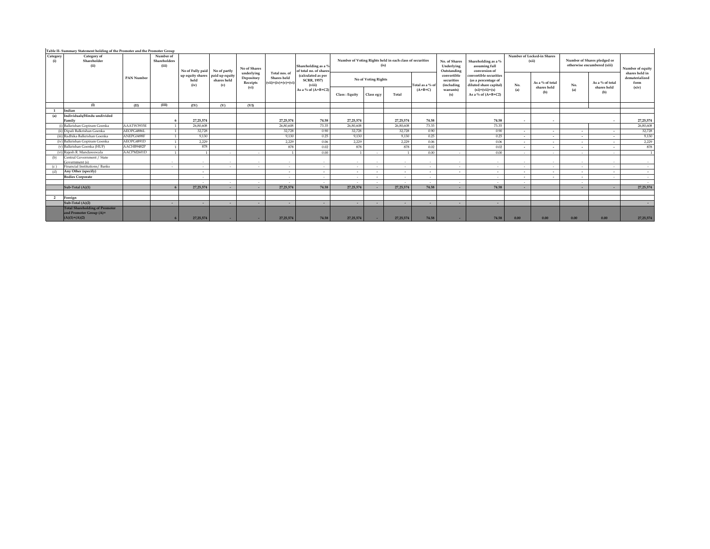| Number of Locked-in Shares<br>(xii)<br>As a % of total<br>shares held<br>(b) | Number of Shares pledged or<br>otherwise encumbered (xiii)<br>As a % of total<br>No.<br>shares held<br>(a)<br>(b) | Number of equity<br>shares held in<br>dematerialized<br>form<br>(xiv) |
|------------------------------------------------------------------------------|-------------------------------------------------------------------------------------------------------------------|-----------------------------------------------------------------------|
|                                                                              |                                                                                                                   |                                                                       |
|                                                                              |                                                                                                                   |                                                                       |
|                                                                              |                                                                                                                   |                                                                       |
|                                                                              |                                                                                                                   |                                                                       |
|                                                                              |                                                                                                                   |                                                                       |
|                                                                              |                                                                                                                   |                                                                       |
| $\overline{\phantom{a}}$                                                     |                                                                                                                   | 27, 25, 574                                                           |
|                                                                              |                                                                                                                   | 26,80,608                                                             |
| $\overline{\phantom{a}}$                                                     | $\overline{\phantom{a}}$<br>$\overline{\phantom{a}}$                                                              | 32,728                                                                |
| $\overline{\phantom{a}}$                                                     | $\overline{\phantom{a}}$<br>$\overline{\phantom{a}}$                                                              | 9,130                                                                 |
| $\overline{\phantom{a}}$                                                     | $\sim$<br>$\overline{\phantom{a}}$                                                                                | 2,229                                                                 |
| $\overline{\phantom{a}}$                                                     | $\overline{\phantom{a}}$<br>$\overline{\phantom{a}}$                                                              | 878                                                                   |
| $\sim$                                                                       | $\sim$<br>$\sim$                                                                                                  |                                                                       |
| $\sim$                                                                       | $\overline{\phantom{a}}$<br>$\sim$                                                                                | $\sim$                                                                |
| $\sim$                                                                       | $\sim$<br>$\sim$                                                                                                  | <b>Service</b>                                                        |
| $\sim$                                                                       | $\overline{\phantom{a}}$<br>$\overline{\phantom{a}}$                                                              | $\sim$                                                                |
| $\overline{\phantom{a}}$                                                     | $\overline{\phantom{a}}$<br>۰.                                                                                    | <b>Service</b>                                                        |
|                                                                              | $\sim$                                                                                                            | $\sim$                                                                |
|                                                                              | $\sim$                                                                                                            | 27, 25, 574                                                           |
|                                                                              |                                                                                                                   |                                                                       |
|                                                                              |                                                                                                                   |                                                                       |
|                                                                              |                                                                                                                   | $\sim$                                                                |
|                                                                              |                                                                                                                   | 27, 25, 574                                                           |
|                                                                              | 0.00                                                                                                              | 0.00<br>0.00                                                          |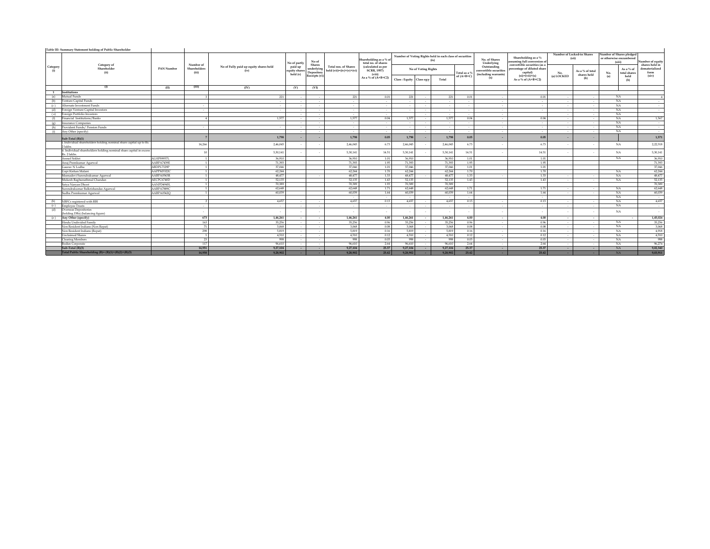| Table III- Summary Statement holding of Public Shareholder |                                                                                     |               |                       |                                                |                                      |                                                     |                                                           |                                                                            |                     |            |                                                                  |              |                                                               |                                                                                       |                                     |                                |     |                                                               |                                    |
|------------------------------------------------------------|-------------------------------------------------------------------------------------|---------------|-----------------------|------------------------------------------------|--------------------------------------|-----------------------------------------------------|-----------------------------------------------------------|----------------------------------------------------------------------------|---------------------|------------|------------------------------------------------------------------|--------------|---------------------------------------------------------------|---------------------------------------------------------------------------------------|-------------------------------------|--------------------------------|-----|---------------------------------------------------------------|------------------------------------|
|                                                            |                                                                                     |               | Number of             |                                                | No of partly                         | No of                                               |                                                           | Shareholding as a % o<br>total no. of shares                               |                     |            | Number of Voting Rights held in each class of securities<br>(ix) |              | No. of Shares<br>Underlying                                   | Shareholding as a $\%$<br>assuming full conversion of<br>convertible securities (as a | Number of Locked-in Shares<br>(xii) |                                |     | Number of Shares pledged<br>or otherwise encumbered<br>(xiii) | Number of equity<br>shares held in |
| Category<br>(i)                                            | Category of<br>Shareholder<br>(ii)                                                  | PAN Number    | Shareholders<br>(iii) | No of Fully paid up equity shares held<br>(iv) | paid up<br>equity shares<br>held (v) | Shares<br>underlying<br>Depository<br>Receipts (vi) | <b>Total nos, of Shares</b><br>held $(vii)=(iv)+(v)+(vi)$ | (calculated as per<br><b>SCRR, 1957)</b><br>(viii)<br>As a % of $(A+B+C2)$ | No of Voting Rights |            |                                                                  | Total as a 9 | Outstanding<br>convertible securities<br>(including warrants) | percentage of diluted share<br>capital)                                               | No.                                 | As a % of total<br>shares held | No. | As a % of<br>total shares                                     | dematerialized<br>form<br>(xiv)    |
|                                                            |                                                                                     |               |                       |                                                |                                      |                                                     |                                                           |                                                                            | Class: Equity       | Class eg:y | Total                                                            | of $(A+B+C)$ | (x)                                                           | $(xi)=(vii)+(x)$<br>As a % of $(A+B+C2)$                                              | (a) LOCKED                          | (b)                            | (a) | held<br>(b)                                                   |                                    |
|                                                            | (1)                                                                                 | (II)          | (III)                 | (IV)                                           | (V)                                  | (VI)                                                |                                                           |                                                                            |                     |            |                                                                  |              |                                                               |                                                                                       |                                     |                                |     |                                                               |                                    |
| <sup>1</sup>                                               | Institutions                                                                        |               |                       |                                                |                                      |                                                     |                                                           |                                                                            |                     |            |                                                                  |              |                                                               |                                                                                       |                                     |                                |     |                                                               |                                    |
| (a)                                                        | Mutual Funds                                                                        |               |                       | 221                                            |                                      | $\sim$                                              | 221                                                       | 0.01                                                                       | 221                 |            | 221                                                              | 0.01         | $\sim$                                                        | 0.01                                                                                  | $\sim$                              | $\sim$                         |     | NA                                                            |                                    |
| (b)                                                        | Venture Capital Funds                                                               |               |                       | $\sim$                                         |                                      | $\sim$                                              | $\sim$                                                    | $\sim$                                                                     | $\sim$              |            |                                                                  | $\sim$       | $\sim$                                                        | $\sim$                                                                                | $\sim$                              | $\sim$                         |     | NA                                                            | $\sim$                             |
| (c)                                                        | Alternate Investment Funds                                                          |               | $\sim$                | $\sim$                                         |                                      | $\sim$                                              | $\sim$                                                    | $\sim$                                                                     | $\sim$              |            | $\sim$                                                           | $\sim$       | $\sim$                                                        | $\sim$                                                                                | $\sim$                              | $\sim$                         |     | NA                                                            | $\sim$                             |
| (d)                                                        | Foreign Venture Capital Investors                                                   |               |                       | $\sim$                                         |                                      |                                                     | $\sim$                                                    | $\sim$                                                                     | $\sim$              |            | $\sim$                                                           |              | $\sim$                                                        | $\sim$                                                                                |                                     | $\sim$                         |     | NA                                                            | $\sim$                             |
|                                                            | (e) Foreign Portfolio Investors                                                     |               |                       |                                                |                                      | $\sim$                                              | $\sim$                                                    | $\sim$                                                                     |                     |            |                                                                  | . .          | $\sim$                                                        |                                                                                       |                                     | $\sim$                         |     | NA                                                            |                                    |
| (f)                                                        | Financial Institutions/Banks                                                        |               |                       | 1.577                                          |                                      | $\sim$                                              | 1.577                                                     | 0.04                                                                       | 1.577               |            | 1,577                                                            | 0.04         | $\sim$                                                        | 0.04                                                                                  |                                     | $\sim$                         |     | NA.                                                           | 1,567                              |
|                                                            | (e) Insurance Companies                                                             |               |                       |                                                |                                      | $\sim$                                              | $\sim$                                                    | $\sim$                                                                     | $\sim$              |            |                                                                  | $\sim$       | $\sim$                                                        | $\sim$                                                                                | $\sim$                              | $\sim$                         |     | NA                                                            | $\sim$                             |
| (h)                                                        | Provident Funds / Pension Funds                                                     |               |                       | $\sim$                                         |                                      | $\sim$                                              | $\sim$                                                    | $\sim$                                                                     | $\sim$              |            | $\sim$                                                           | $\sim$       | $\sim$                                                        | $\sim$                                                                                |                                     | $\sim$                         |     | NA                                                            | $\sim$                             |
| (i)                                                        | Any Other (specify)                                                                 |               |                       |                                                |                                      |                                                     | $\sim$                                                    | $\sim$                                                                     | $\sim$              |            | $\sim$                                                           |              | $\sim$                                                        | $\sim$                                                                                |                                     | $\sim$                         |     | NA                                                            | $\sim$                             |
|                                                            | Sub-Total (B)(1)                                                                    |               |                       | 1,798                                          |                                      |                                                     | 1,798                                                     | 0.05                                                                       | 1,798               |            | 1,798                                                            | 0.05         |                                                               | 0.05                                                                                  |                                     |                                |     |                                                               | 1,571                              |
|                                                            | i. Individual shareholders holding nominal share capital up to Rs.<br>2 lakhs.      |               | 14,266                | 2,46,045                                       |                                      |                                                     | 2,46,045                                                  | 6.73                                                                       | 2,46,045            |            | 2,46,045                                                         | 6.73         |                                                               | 6.73                                                                                  |                                     |                                |     | NA                                                            | 2,22,518                           |
|                                                            | ii. Individual shareholders holding nominal share capital in excess<br>Rs. 2 lakhs. |               |                       | 5,30,141                                       |                                      |                                                     | 5,30,141                                                  | 14.51                                                                      | 5,30,141            |            | 5,30,141                                                         | 14.51        |                                                               | 14.51                                                                                 |                                     |                                |     | NA                                                            | 5,30,141                           |
|                                                            | Anmol Sekhri                                                                        | ALHPS9957L    | $\mathbf{u}$          | 36,910                                         |                                      |                                                     | 36,910                                                    | 1.01                                                                       | 36,910              |            | 36,910                                                           | 1.01         |                                                               | 1.01                                                                                  |                                     |                                |     | NA                                                            | 36,910                             |
|                                                            | Anui Premkumar Agarwal                                                              | A ABP A 7439F | $\mathbf{1}$          | 71.393                                         |                                      |                                                     | 71.393                                                    | 1.95                                                                       | 71.393              |            | 71.393                                                           | 1.95         |                                                               | 1.95                                                                                  |                                     |                                |     |                                                               | 71,393                             |
|                                                            | Gauray N Lodha                                                                      | ABDPL7329P    |                       | 37.046                                         |                                      |                                                     | 37,046                                                    | 1.01                                                                       | 37,046              |            | 37,046                                                           | 1.01         |                                                               | 1.01                                                                                  |                                     |                                |     |                                                               | 37,046                             |
|                                                            | Goni Kishan Malani                                                                  | AAPPM3322C    |                       | 62,244                                         |                                      |                                                     | 62.244                                                    | 1.70                                                                       | 62.244              |            | 62,244                                                           | 1.70         |                                                               | 1.70                                                                                  |                                     |                                |     | NA                                                            | 62,244                             |
|                                                            | Meenadevi Surendrakumar Agarwal                                                     | AABPA0543R    | $\mathbf{1}$          | 48.477                                         |                                      |                                                     | 48.477                                                    | 1.33                                                                       | 48,477              |            | 48,477                                                           | 1.33         |                                                               | 1.33                                                                                  |                                     | $\sim$                         |     | NA                                                            | 48,477                             |
|                                                            | Mukesh Raghunathmal Chandan                                                         | AECPC6740D    | $\mathbf{1}$          | 52,135                                         |                                      |                                                     | 52,135                                                    | 1.43                                                                       | 52,135              |            | 52,135                                                           | 1.43         |                                                               | 1.43                                                                                  |                                     | $\sim$                         |     | <b>NA</b>                                                     | 52,135                             |
|                                                            | Satva Narvan Dhoot                                                                  | AANPD4945I    | $\mathbf{1}$          | 70,389                                         |                                      |                                                     | 70,389                                                    | 1.93                                                                       | 70,389              |            | 70,389                                                           |              |                                                               |                                                                                       |                                     |                                |     |                                                               | 70,389                             |
|                                                            | Surendrakumar Balkrishandas Agarwal                                                 | AABPA7889C    | $\mathbf{1}$          | 62,648                                         |                                      |                                                     | 62.648                                                    | 1.71                                                                       | 62,648              |            | 62,648                                                           | 1.71         |                                                               | 1.71                                                                                  |                                     | $\sim$                         |     | NA                                                            | 62,648                             |
|                                                            | Sudha Premkumar Agarwal                                                             | AABPA0542O    |                       | 60,039                                         |                                      |                                                     | 60,039                                                    | 1.64                                                                       | 60,039              |            | 60,039                                                           | 1.64         |                                                               | 1.64                                                                                  |                                     | $\sim$                         |     | NA                                                            | 60,039                             |
|                                                            |                                                                                     |               |                       |                                                |                                      |                                                     | $\sim$                                                    | $\sim$                                                                     | $\sim$              |            |                                                                  |              |                                                               | $\sim$                                                                                |                                     |                                |     | NA.                                                           | $\sim$                             |
| (b)                                                        | NBFCs registered with RBI                                                           |               |                       | 4.657                                          |                                      | $\sim$                                              | 4.657                                                     | 0.13                                                                       | 4.657               |            | 4.657                                                            | 0.13         | $\sim$                                                        | 0.13                                                                                  | $\sim$                              | $\sim$                         |     | NA.                                                           | 4,657                              |
|                                                            | (c) Employee Trusts                                                                 |               | $\sim$                | $\sim$                                         |                                      | $\sim$                                              | $\sim$                                                    | $\sim$                                                                     | $\sim$              | $\sim$     |                                                                  | $\sim$       | $\sim$                                                        | $\sim$                                                                                | $\sim$                              | $\sim$                         |     | NA.                                                           | $\sim$                             |
| (d)                                                        | Overseas Depositories<br>(holding DRs) (balancing figure)                           |               |                       | $\sim$                                         |                                      |                                                     |                                                           |                                                                            |                     |            |                                                                  |              |                                                               | $\overline{\phantom{a}}$                                                              |                                     |                                |     | NA                                                            | $\sim$                             |
|                                                            | (e) Any Other (specify)                                                             |               | 673                   | 1,46,261                                       | $\sim$                               | $\overline{\phantom{a}}$                            | 1,46,261                                                  | 4.00                                                                       | 1,46,261            |            | 1,46,261                                                         | 4.00         | $\sim$                                                        | 4.00                                                                                  | $\sim$                              | $\sim$                         |     |                                                               | 1,45,024                           |
|                                                            | Hindu Undivided Family                                                              |               | 163                   | 35.256                                         |                                      | $\sim$                                              | 35.256                                                    | 0.96                                                                       | 35.256              |            | 35,256                                                           | 0.96         | $\sim$                                                        | 0.96                                                                                  | $\sim$                              | $\sim$                         |     | NA                                                            | 35,256                             |
|                                                            | Non Resident Indians (Non Repat)                                                    |               | 71                    | 3.068                                          | $\sim$                               | $\sim$                                              | 3.068                                                     | 0.08                                                                       | 3.068               |            | 3,068                                                            | 0.08         | $\sim$                                                        | 0.08                                                                                  | $\sim$                              | $\sim$                         |     | NA                                                            | 3,068                              |
|                                                            | Non Resident Indians (Repat)                                                        |               | 298                   | 5.819                                          |                                      |                                                     | 5,819                                                     | 0.16                                                                       | 5.819               |            | 5,819                                                            | 0.16         | $\overline{\phantom{a}}$                                      | 0.16                                                                                  |                                     | $\sim$                         |     | NA                                                            | 4,918                              |
|                                                            | <b>Unclaimed Shares</b>                                                             |               | $\mathbf{1}$          | 4.510                                          |                                      | $\sim$                                              | 4.510                                                     | 0.12                                                                       | 4,510               |            | 4,510                                                            | 0.12         | $\sim$                                                        | 0.12                                                                                  | $\sim$                              | $\sim$                         |     | NA                                                            | 4,510                              |
|                                                            | <b>Clearing Members</b>                                                             |               | 23                    | 998                                            |                                      |                                                     | 998                                                       | 0.03                                                                       | 998                 |            | 998                                                              | 0.03         | $\overline{\phantom{a}}$                                      | 0.03                                                                                  |                                     | $\sim$                         |     | NA                                                            | 998                                |
|                                                            | <b>Bodies Corporate</b>                                                             |               | 117                   | 96,610                                         |                                      | $\sim$                                              | 96,610                                                    | 2.64                                                                       | 96,610              |            | 96.61                                                            | 2.64         | $\sim$                                                        | 2.64                                                                                  |                                     | $\sim$                         |     | <b>NA</b>                                                     | 96,274                             |
|                                                            | Sub-Total (B)(3)                                                                    |               | 14.951                | 9,27,104                                       | $\sim$                               | $\sim$                                              | 9.27.104                                                  | 25.37                                                                      | 9,27,104            |            | 9,27,104                                                         | 25.37        | $\sim$                                                        | 25.37                                                                                 | $\sim$                              | $\sim$                         |     | <b>NA</b>                                                     | 9,02,340                           |
|                                                            | Total Public Shareholding (B)= (B)(1)+(B)(2)+(B)(3)                                 |               | 14,958                | 9.28.902                                       |                                      |                                                     | 9,28,902                                                  | 25.42                                                                      | 9.28.902            |            | 9.28.902                                                         | 25.42        |                                                               | 25.42                                                                                 |                                     |                                |     | <b>NA</b>                                                     | 9,03,911                           |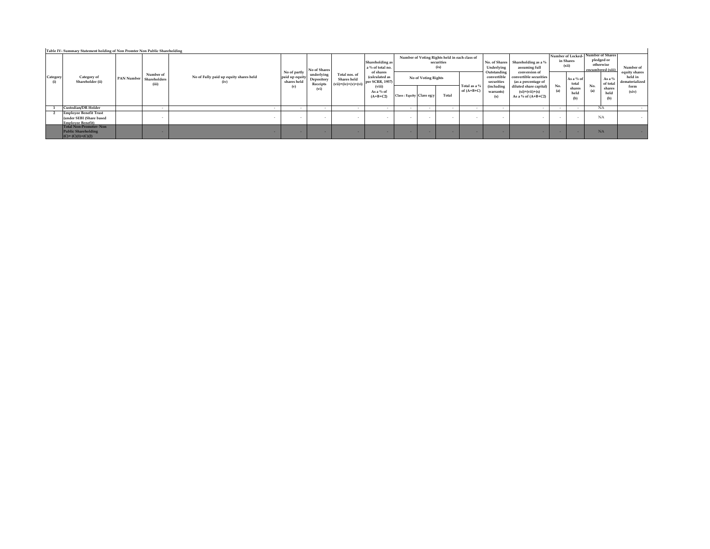|                          | No of Fully paid up equity shares held<br>(iv                                              |                           |                                              | Total nos. of<br>Shares held   | a % of total no.<br>of shares<br>(calculated as<br>per SCRR, 1957)<br>(viii)<br>As a % of<br>$(A+B+C2)$ | Number of Voting Rights held in each class of<br>securities<br>(ix) |                 |       |                           | Underlying                                    | Shareholding as a %<br>assuming full     | Number of Locked-<br>in Shares<br>(xii) |                               | Number of Shares<br>pledged or<br>otherwise |                                                    | Number of                                            |
|--------------------------|--------------------------------------------------------------------------------------------|---------------------------|----------------------------------------------|--------------------------------|---------------------------------------------------------------------------------------------------------|---------------------------------------------------------------------|-----------------|-------|---------------------------|-----------------------------------------------|------------------------------------------|-----------------------------------------|-------------------------------|---------------------------------------------|----------------------------------------------------|------------------------------------------------------|
| PAN Number<br>(iii)      |                                                                                            | shares held<br>(v)        | underlying<br>Depository<br>Receipts<br>(vi) |                                |                                                                                                         | No of Voting Rights                                                 |                 |       | convertible<br>securities | convertible securities<br>(as a percentage of |                                          | As a % of<br>total                      |                               | As a $%$<br>of total                        | equity shares<br>held in<br>dematerialized<br>form |                                                      |
|                          |                                                                                            |                           |                                              |                                |                                                                                                         |                                                                     |                 | Total | of $(A+B+C)$              | warrants)<br>(x)                              | $(xi)=(vii)+(x)$<br>As a % of $(A+B+C2)$ | (a)                                     | held<br>(b)                   | (a)                                         | held                                               | (xiv)                                                |
| $\sim$                   |                                                                                            |                           |                                              | . .                            |                                                                                                         | $\sim$                                                              |                 |       |                           |                                               |                                          | . .                                     |                               |                                             |                                                    |                                                      |
| $\overline{\phantom{a}}$ |                                                                                            | . .                       | . .                                          | . .                            |                                                                                                         | $\sim$                                                              |                 |       |                           |                                               |                                          | . .                                     | . .                           |                                             |                                                    |                                                      |
|                          |                                                                                            |                           |                                              |                                |                                                                                                         | . .                                                                 |                 | -     |                           |                                               | . .                                      | .                                       | .                             |                                             |                                                    |                                                      |
|                          | <b>Employee Benefit Trust</b><br>(under SEBI (Share based<br><b>Total Non-Promoter-Non</b> | Number of<br>Shareholders |                                              | No of partly<br>paid up equity | No of Shares                                                                                            | $(vii)=(iv)+(v)+(vi)$                                               | Shareholding as |       | Class: Equity Class eg:v  | Total as a %                                  | Outstanding<br>(including                | No. of Shares<br>conversion of          | No.<br>diluted share capital) | shares                                      | No.                                                | encumbered (xiii)<br>shares<br>NA<br>NA<br><b>NA</b> |